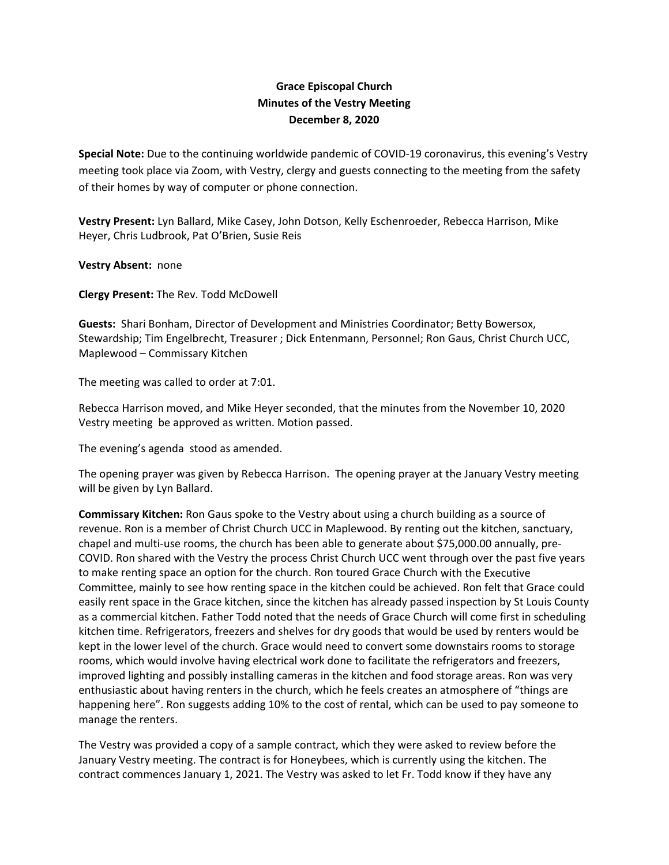## **Grace Episcopal Church Minutes of the Vestry Meeting December 8, 2020**

**Special Note:** Due to the continuing worldwide pandemic of COVID‐19 coronavirus, this evening's Vestry meeting took place via Zoom, with Vestry, clergy and guests connecting to the meeting from the safety of their homes by way of computer or phone connection.

**Vestry Present:** Lyn Ballard, Mike Casey, John Dotson, Kelly Eschenroeder, Rebecca Harrison, Mike Heyer, Chris Ludbrook, Pat O'Brien, Susie Reis

**Vestry Absent:** none

**Clergy Present:** The Rev. Todd McDowell

**Guests:** Shari Bonham, Director of Development and Ministries Coordinator; Betty Bowersox, Stewardship; Tim Engelbrecht, Treasurer ; Dick Entenmann, Personnel; Ron Gaus, Christ Church UCC, Maplewood – Commissary Kitchen

The meeting was called to order at 7:01.

Rebecca Harrison moved, and Mike Heyer seconded, that the minutes from the November 10, 2020 Vestry meeting be approved as written. Motion passed.

The evening's agenda stood as amended.

The opening prayer was given by Rebecca Harrison. The opening prayer at the January Vestry meeting will be given by Lyn Ballard.

**Commissary Kitchen:** Ron Gaus spoke to the Vestry about using a church building as a source of revenue. Ron is a member of Christ Church UCC in Maplewood. By renting out the kitchen, sanctuary, chapel and multi-use rooms, the church has been able to generate about \$75,000.00 annually, pre-COVID. Ron shared with the Vestry the process Christ Church UCC went through over the past five years to make renting space an option for the church. Ron toured Grace Church with the Executive Committee, mainly to see how renting space in the kitchen could be achieved. Ron felt that Grace could easily rent space in the Grace kitchen, since the kitchen has already passed inspection by St Louis County as a commercial kitchen. Father Todd noted that the needs of Grace Church will come first in scheduling kitchen time. Refrigerators, freezers and shelves for dry goods that would be used by renters would be kept in the lower level of the church. Grace would need to convert some downstairs rooms to storage rooms, which would involve having electrical work done to facilitate the refrigerators and freezers, improved lighting and possibly installing cameras in the kitchen and food storage areas. Ron was very enthusiastic about having renters in the church, which he feels creates an atmosphere of "things are happening here". Ron suggests adding 10% to the cost of rental, which can be used to pay someone to manage the renters.

The Vestry was provided a copy of a sample contract, which they were asked to review before the January Vestry meeting. The contract is for Honeybees, which is currently using the kitchen. The contract commences January 1, 2021. The Vestry was asked to let Fr. Todd know if they have any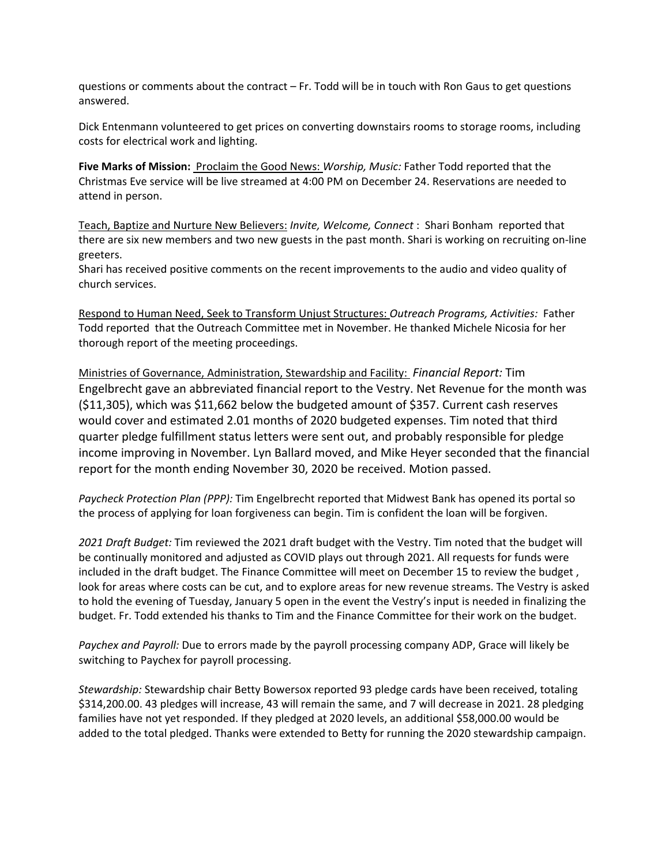questions or comments about the contract – Fr. Todd will be in touch with Ron Gaus to get questions answered.

Dick Entenmann volunteered to get prices on converting downstairs rooms to storage rooms, including costs for electrical work and lighting.

**Five Marks of Mission:** Proclaim the Good News: *Worship, Music:* Father Todd reported that the Christmas Eve service will be live streamed at 4:00 PM on December 24. Reservations are needed to attend in person.

Teach, Baptize and Nurture New Believers: *Invite, Welcome, Connect* : Shari Bonham reported that there are six new members and two new guests in the past month. Shari is working on recruiting on-line greeters.

Shari has received positive comments on the recent improvements to the audio and video quality of church services.

Respond to Human Need, Seek to Transform Unjust Structures: *Outreach Programs, Activities:* Father Todd reported that the Outreach Committee met in November. He thanked Michele Nicosia for her thorough report of the meeting proceedings.

Ministries of Governance, Administration, Stewardship and Facility: *Financial Report:* Tim Engelbrecht gave an abbreviated financial report to the Vestry. Net Revenue for the month was (\$11,305), which was \$11,662 below the budgeted amount of \$357. Current cash reserves would cover and estimated 2.01 months of 2020 budgeted expenses. Tim noted that third quarter pledge fulfillment status letters were sent out, and probably responsible for pledge income improving in November. Lyn Ballard moved, and Mike Heyer seconded that the financial report for the month ending November 30, 2020 be received. Motion passed.

*Paycheck Protection Plan (PPP):* Tim Engelbrecht reported that Midwest Bank has opened its portal so the process of applying for loan forgiveness can begin. Tim is confident the loan will be forgiven.

*2021 Draft Budget:* Tim reviewed the 2021 draft budget with the Vestry. Tim noted that the budget will be continually monitored and adjusted as COVID plays out through 2021. All requests for funds were included in the draft budget. The Finance Committee will meet on December 15 to review the budget , look for areas where costs can be cut, and to explore areas for new revenue streams. The Vestry is asked to hold the evening of Tuesday, January 5 open in the event the Vestry's input is needed in finalizing the budget. Fr. Todd extended his thanks to Tim and the Finance Committee for their work on the budget.

*Paychex and Payroll:* Due to errors made by the payroll processing company ADP, Grace will likely be switching to Paychex for payroll processing.

*Stewardship:* Stewardship chair Betty Bowersox reported 93 pledge cards have been received, totaling \$314,200.00. 43 pledges will increase, 43 will remain the same, and 7 will decrease in 2021. 28 pledging families have not yet responded. If they pledged at 2020 levels, an additional \$58,000.00 would be added to the total pledged. Thanks were extended to Betty for running the 2020 stewardship campaign.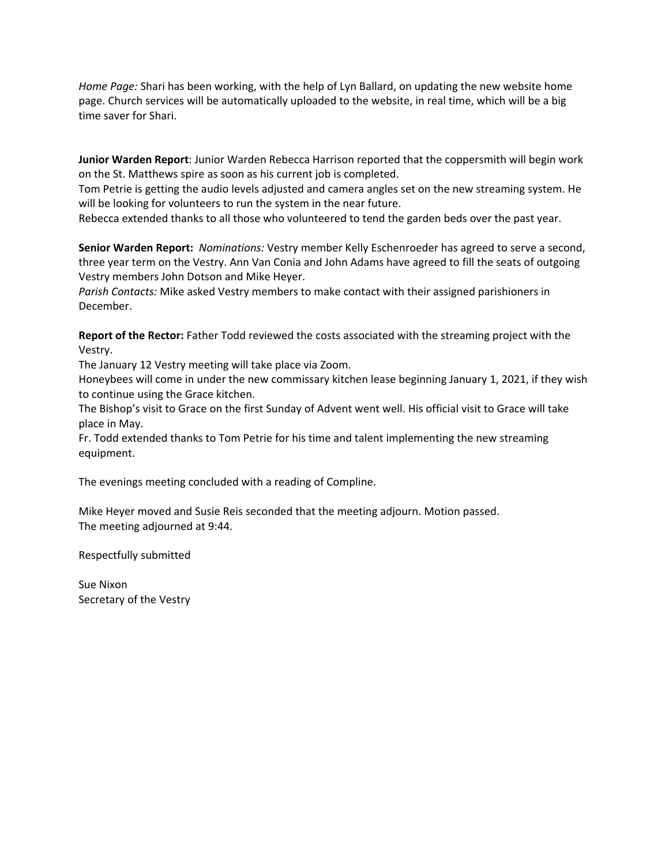*Home Page:* Shari has been working, with the help of Lyn Ballard, on updating the new website home page. Church services will be automatically uploaded to the website, in real time, which will be a big time saver for Shari.

**Junior Warden Report**: Junior Warden Rebecca Harrison reported that the coppersmith will begin work on the St. Matthews spire as soon as his current job is completed.

Tom Petrie is getting the audio levels adjusted and camera angles set on the new streaming system. He will be looking for volunteers to run the system in the near future.

Rebecca extended thanks to all those who volunteered to tend the garden beds over the past year.

**Senior Warden Report:** *Nominations:* Vestry member Kelly Eschenroeder has agreed to serve a second, three year term on the Vestry. Ann Van Conia and John Adams have agreed to fill the seats of outgoing Vestry members John Dotson and Mike Heyer.

*Parish Contacts:* Mike asked Vestry members to make contact with their assigned parishioners in December.

**Report of the Rector:** Father Todd reviewed the costs associated with the streaming project with the Vestry.

The January 12 Vestry meeting will take place via Zoom.

Honeybees will come in under the new commissary kitchen lease beginning January 1, 2021, if they wish to continue using the Grace kitchen.

The Bishop's visit to Grace on the first Sunday of Advent went well. His official visit to Grace will take place in May.

Fr. Todd extended thanks to Tom Petrie for his time and talent implementing the new streaming equipment.

The evenings meeting concluded with a reading of Compline.

Mike Heyer moved and Susie Reis seconded that the meeting adjourn. Motion passed. The meeting adjourned at 9:44.

Respectfully submitted

Sue Nixon Secretary of the Vestry